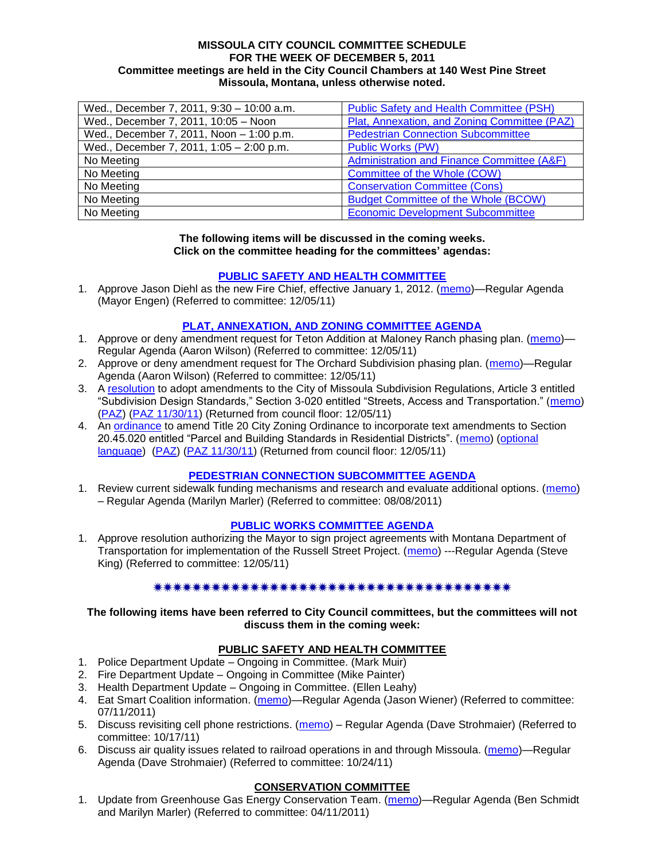#### **MISSOULA CITY COUNCIL COMMITTEE SCHEDULE FOR THE WEEK OF DECEMBER 5, 2011 Committee meetings are held in the City Council Chambers at 140 West Pine Street Missoula, Montana, unless otherwise noted.**

| Wed., December 7, 2011, 9:30 - 10:00 a.m. | Public Safety and Health Committee (PSH)     |
|-------------------------------------------|----------------------------------------------|
| Wed., December 7, 2011, 10:05 - Noon      | Plat, Annexation, and Zoning Committee (PAZ) |
| Wed., December 7, 2011, Noon - 1:00 p.m.  | <b>Pedestrian Connection Subcommittee</b>    |
| Wed., December 7, 2011, 1:05 - 2:00 p.m.  | <b>Public Works (PW)</b>                     |
| No Meeting                                | Administration and Finance Committee (A&F)   |
| No Meeting                                | Committee of the Whole (COW)                 |
| No Meeting                                | <b>Conservation Committee (Cons)</b>         |
| No Meeting                                | <b>Budget Committee of the Whole (BCOW)</b>  |
| No Meeting                                | <b>Economic Development Subcommittee</b>     |

#### **The following items will be discussed in the coming weeks. Click on the committee heading for the committees' agendas:**

## **[PUBLIC SAFETY AND HEALTH COMMITTEE](http://www.ci.missoula.mt.us/DocumentCenterii.aspx?FID=836)**

1. Approve Jason Diehl as the new Fire Chief, effective January 1, 2012. [\(memo\)](http://www.ci.missoula.mt.us/DocumentView.aspx?DID=7783)—Regular Agenda (Mayor Engen) (Referred to committee: 12/05/11)

## **[PLAT, ANNEXATION, AND ZONING COMMITTEE AGENDA](http://www.ci.missoula.mt.us/DocumentCenterii.aspx?FID=831)**

- 1. Approve or deny amendment request for Teton Addition at Maloney Ranch phasing plan. [\(memo\)](http://www.ci.missoula.mt.us/DocumentView.aspx?DID=7785) Regular Agenda (Aaron Wilson) (Referred to committee: 12/05/11)
- 2. Approve or deny amendment request for The Orchard Subdivision phasing plan. [\(memo\)](http://www.ci.missoula.mt.us/DocumentView.aspx?DID=7786)—Regular Agenda (Aaron Wilson) (Referred to committee: 12/05/11)
- 3. A [resolution](http://www.ci.missoula.mt.us/DocumentView.aspx?DID=7484) to adopt amendments to the City of Missoula Subdivision Regulations, Article 3 entitled "Subdivision Design Standards," Section 3-020 entitled "Streets, Access and Transportation." [\(memo\)](http://www.ci.missoula.mt.us/DocumentView.aspx?DID=7491) [\(PAZ\)](http://www.ci.missoula.mt.us/Archive.aspx?ADID=4684) [\(PAZ 11/30/11\)](http://www.ci.missoula.mt.us/Archive.aspx?ADID=4786) (Returned from council floor: 12/05/11)
- 4. An [ordinance](http://mt-missoula.civicplus.com/DocumentView.aspx?DID=7548) to amend Title 20 City Zoning Ordinance to incorporate text amendments to Section 20.45.020 entitled "Parcel and Building Standards in Residential Districts". [\(memo\)](http://www.ci.missoula.mt.us/DocumentView.aspx?DID=7573) (optional [language\)](http://www.ci.missoula.mt.us/DocumentView.aspx?DID=7790) [\(PAZ\)](http://www.ci.missoula.mt.us/Archive.aspx?ADID=4707) [\(PAZ 11/30/11\)](http://www.ci.missoula.mt.us/Archive.aspx?ADID=4786) (Returned from council floor: 12/05/11)

#### **[PEDESTRIAN CONNECTION SUBCOMMITTEE AGENDA](http://www.ci.missoula.mt.us/DocumentCenterii.aspx?FID=845)**

1. Review current sidewalk funding mechanisms and research and evaluate additional options. [\(memo\)](http://www.ci.missoula.mt.us/DocumentView.aspx?DID=7017) – Regular Agenda (Marilyn Marler) (Referred to committee: 08/08/2011)

## **[PUBLIC WORKS COMMITTEE AGENDA](http://www.ci.missoula.mt.us/DocumentCenterii.aspx?FID=833)**

1. Approve resolution authorizing the Mayor to sign project agreements with Montana Department of Transportation for implementation of the Russell Street Project. [\(memo\)](http://www.ci.missoula.mt.us/DocumentView.aspx?DID=7784) ---Regular Agenda (Steve King) (Referred to committee: 12/05/11)

#### 

**The following items have been referred to City Council committees, but the committees will not discuss them in the coming week:**

## **PUBLIC SAFETY AND HEALTH COMMITTEE**

- 1. Police Department Update Ongoing in Committee. (Mark Muir)
- 2. Fire Department Update Ongoing in Committee (Mike Painter)
- 3. Health Department Update Ongoing in Committee. (Ellen Leahy)
- 4. Eat Smart Coalition information. [\(memo\)](http://www.ci.missoula.mt.us/DocumentView.aspx?DID=6776)—Regular Agenda (Jason Wiener) (Referred to committee: 07/11/2011)
- 5. Discuss revisiting cell phone restrictions. [\(memo\)](http://www.ci.missoula.mt.us/DocumentView.aspx?DID=7420) Regular Agenda (Dave Strohmaier) (Referred to committee: 10/17/11)
- 6. Discuss air quality issues related to railroad operations in and through Missoula. [\(memo\)](http://www.ci.missoula.mt.us/DocumentView.aspx?DID=7495)—Regular Agenda (Dave Strohmaier) (Referred to committee: 10/24/11)

#### **CONSERVATION COMMITTEE**

1. Update from Greenhouse Gas Energy Conservation Team. [\(memo\)](http://www.ci.missoula.mt.us/DocumentView.aspx?DID=5945)—Regular Agenda (Ben Schmidt and Marilyn Marler) (Referred to committee: 04/11/2011)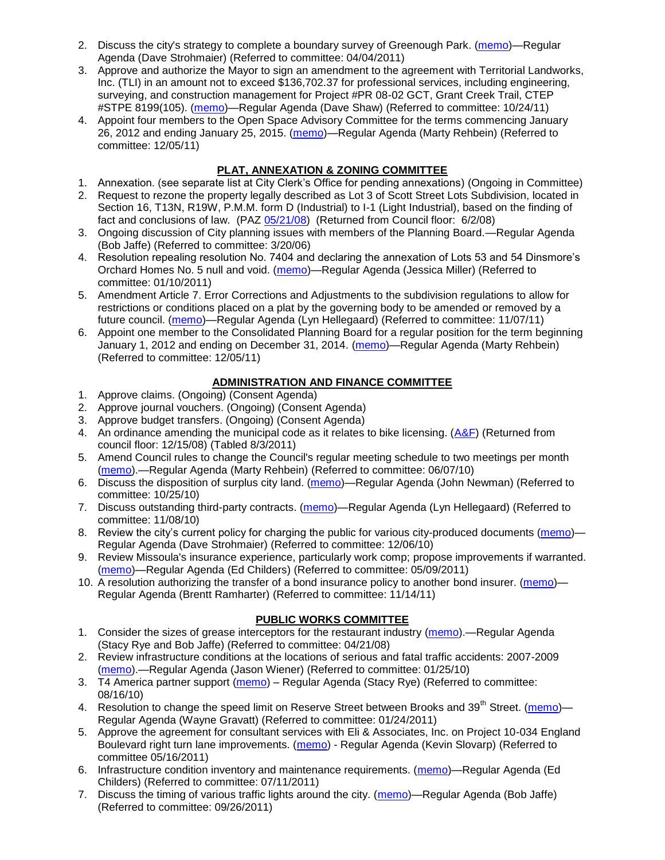- 2. Discuss the city's strategy to complete a boundary survey of Greenough Park. [\(memo\)](http://www.ci.missoula.mt.us/DocumentView.aspx?DID=5875)—Regular Agenda (Dave Strohmaier) (Referred to committee: 04/04/2011)
- 3. Approve and authorize the Mayor to sign an amendment to the agreement with Territorial Landworks, Inc. (TLI) in an amount not to exceed \$136,702.37 for professional services, including engineering, surveying, and construction management for Project #PR 08-02 GCT, Grant Creek Trail, CTEP #STPE 8199(105). [\(memo\)](http://www.ci.missoula.mt.us/DocumentView.aspx?DID=7494)—Regular Agenda (Dave Shaw) (Referred to committee: 10/24/11)
- 4. Appoint four members to the Open Space Advisory Committee for the terms commencing January 26, 2012 and ending January 25, 2015. [\(memo\)](http://www.ci.missoula.mt.us/DocumentView.aspx?DID=7747)—Regular Agenda (Marty Rehbein) (Referred to committee: 12/05/11)

# **PLAT, ANNEXATION & ZONING COMMITTEE**

- 1. Annexation. (see separate list at City Clerk's Office for pending annexations) (Ongoing in Committee)
- 2. Request to rezone the property legally described as Lot 3 of Scott Street Lots Subdivision, located in Section 16, T13N, R19W, P.M.M. form D (Industrial) to I-1 (Light Industrial), based on the finding of fact and conclusions of law. (PAZ [05/21/08\)](ftp://ftp.ci.missoula.mt.us/Packets/Council/2008/2008-06-02/080521paz.pdf) (Returned from Council floor: 6/2/08)
- 3. Ongoing discussion of City planning issues with members of the Planning Board.—Regular Agenda (Bob Jaffe) (Referred to committee: 3/20/06)
- 4. Resolution repealing resolution No. 7404 and declaring the annexation of Lots 53 and 54 Dinsmore's Orchard Homes No. 5 null and void. [\(memo\)](http://www.ci.missoula.mt.us/DocumentView.aspx?DID=5349)—Regular Agenda (Jessica Miller) (Referred to committee: 01/10/2011)
- 5. Amendment Article 7. Error Corrections and Adjustments to the subdivision regulations to allow for restrictions or conditions placed on a plat by the governing body to be amended or removed by a future council. [\(memo\)](http://www.ci.missoula.mt.us/DocumentView.aspx?DID=7568)—Regular Agenda (Lyn Hellegaard) (Referred to committee: 11/07/11)
- 6. Appoint one member to the Consolidated Planning Board for a regular position for the term beginning January 1, 2012 and ending on December 31, 2014. [\(memo\)](http://www.ci.missoula.mt.us/DocumentView.aspx?DID=7787)—Regular Agenda (Marty Rehbein) (Referred to committee: 12/05/11)

## **ADMINISTRATION AND FINANCE COMMITTEE**

- 1. Approve claims. (Ongoing) (Consent Agenda)
- 2. Approve journal vouchers. (Ongoing) (Consent Agenda)
- 3. Approve budget transfers. (Ongoing) (Consent Agenda)
- 4. An ordinance amending the municipal code as it relates to bike licensing. [\(A&F\)](ftp://ftp.ci.missoula.mt.us/Packets/Council/2008/2008-12-15/081210af.pdf) (Returned from council floor: 12/15/08) (Tabled 8/3/2011)
- 5. Amend Council rules to change the Council's regular meeting schedule to two meetings per month [\(memo\)](http://www.ci.missoula.mt.us/DocumentView.aspx?DID=4027).—Regular Agenda (Marty Rehbein) (Referred to committee: 06/07/10)
- 6. Discuss the disposition of surplus city land. [\(memo\)](http://www.ci.missoula.mt.us/DocumentView.aspx?DID=4862)—Regular Agenda (John Newman) (Referred to committee: 10/25/10)
- 7. Discuss outstanding third-party contracts. [\(memo\)](http://www.ci.missoula.mt.us/DocumentView.aspx?DID=4956)—Regular Agenda (Lyn Hellegaard) (Referred to committee: 11/08/10)
- 8. Review the city's current policy for charging the public for various city-produced documents [\(memo\)](http://www.ci.missoula.mt.us/DocumentView.aspx?DID=5143)-Regular Agenda (Dave Strohmaier) (Referred to committee: 12/06/10)
- 9. Review Missoula's insurance experience, particularly work comp; propose improvements if warranted. [\(memo\)](http://www.ci.missoula.mt.us/DocumentView.aspx?DID=6381)—Regular Agenda (Ed Childers) (Referred to committee: 05/09/2011)
- 10. A resolution authorizing the transfer of a bond insurance policy to another bond insurer. [\(memo\)](http://www.ci.missoula.mt.us/DocumentView.aspx?DID=7600) Regular Agenda (Brentt Ramharter) (Referred to committee: 11/14/11)

## **PUBLIC WORKS COMMITTEE**

- 1. Consider the sizes of grease interceptors for the restaurant industry [\(memo\)](ftp://ftp.ci.missoula.mt.us/Packets/Council/2008/2008-04-21/Referrals/Industrial_waste_restaurants.pdf).—Regular Agenda (Stacy Rye and Bob Jaffe) (Referred to committee: 04/21/08)
- 2. Review infrastructure conditions at the locations of serious and fatal traffic accidents: 2007-2009 [\(memo\)](http://www.ci.missoula.mt.us/DocumentView.aspx?DID=3031).—Regular Agenda (Jason Wiener) (Referred to committee: 01/25/10)
- 3. T4 America partner support [\(memo\)](http://www.ci.missoula.mt.us/DocumentView.aspx?DID=4452) Regular Agenda (Stacy Rye) (Referred to committee: 08/16/10)
- 4. Resolution to change the speed limit on Reserve Street between Brooks and 39<sup>th</sup> Street. [\(memo\)](http://www.ci.missoula.mt.us/DocumentView.aspx?DID=5418)-Regular Agenda (Wayne Gravatt) (Referred to committee: 01/24/2011)
- 5. Approve the agreement for consultant services with Eli & Associates, Inc. on Project 10-034 England Boulevard right turn lane improvements. [\(memo\)](http://www.ci.missoula.mt.us/DocumentView.aspx?DID=6419) - Regular Agenda (Kevin Slovarp) (Referred to committee 05/16/2011)
- 6. Infrastructure condition inventory and maintenance requirements. [\(memo\)](http://www.ci.missoula.mt.us/DocumentView.aspx?DID=6751)—Regular Agenda (Ed Childers) (Referred to committee: 07/11/2011)
- 7. Discuss the timing of various traffic lights around the city. [\(memo\)](http://www.ci.missoula.mt.us/DocumentView.aspx?DID=7322)—Regular Agenda (Bob Jaffe) (Referred to committee: 09/26/2011)